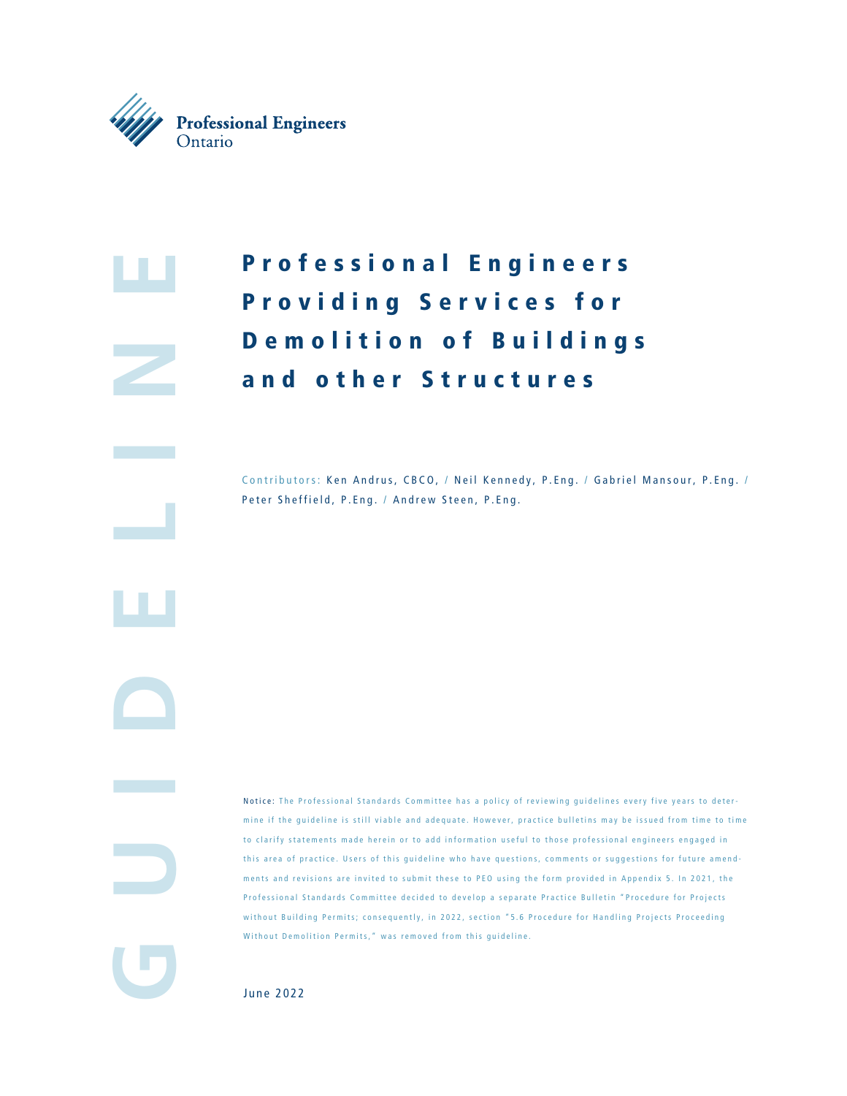

**GUIDELINE** 

# P r o f e s s i o n a l E n g i n e e r s Providing Services for Demolition of Buildings and other Structures

Contributors: Ken Andrus, CBCO, / Neil Kennedy, P.Eng. / Gabriel Mansour, P.Eng. / Peter Sheffield, P.Eng. / Andrew Steen, P.Eng.

Notice: The Professional Standards Committee has a policy of reviewing guidelines every five years to deter mine if the guideline is still viable and adequate. However, practice bulletins may be issued from time to time to clarify statements made herein or to add information useful to those professional engineers engaged in this area of practice. Users of this guideline who have questions, comments or suggestions for future amendments and revisions are invited to submit these to PEO using the form provided in Appendix 5. In 2021, the Professional Standards Committee decided to develop a separate Practice Bulletin "Procedure for Projects without Building Permits; consequently, in 2022, section "5.6 Procedure for Handling Projects Proceeding Without Demolition Permits," was removed from this guideline.

June 2022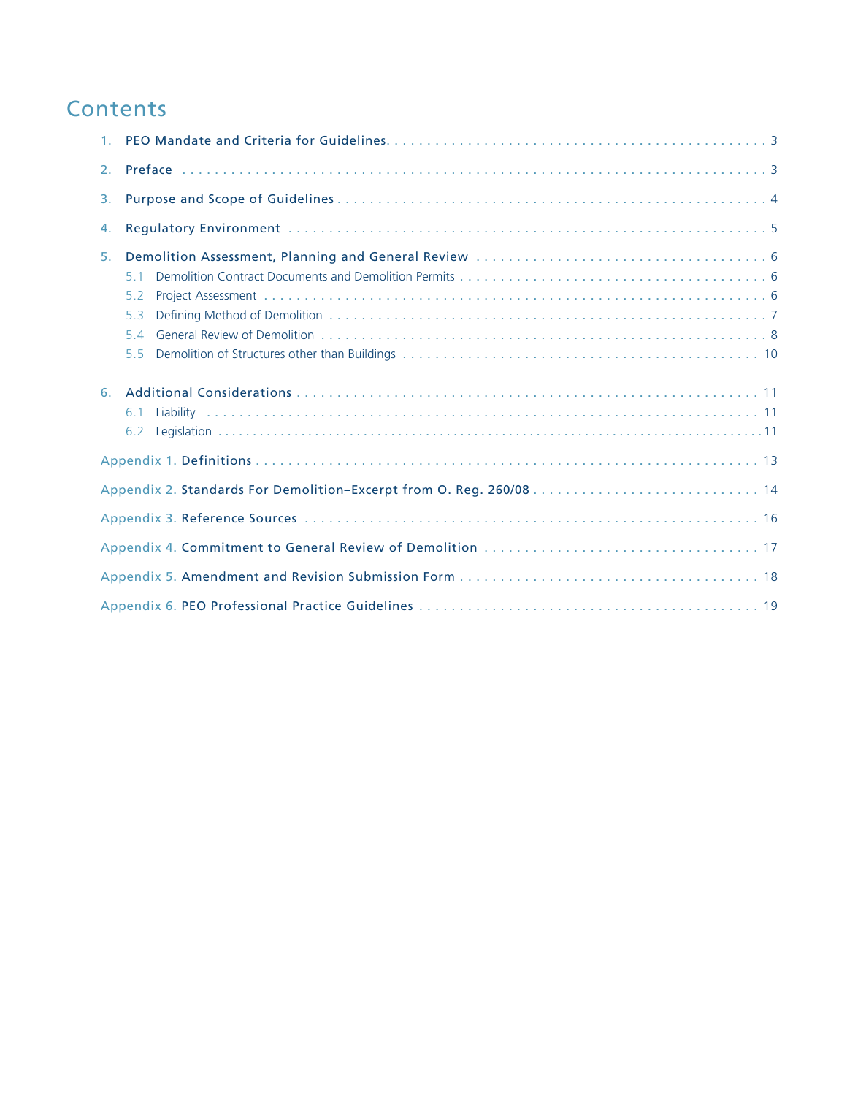## **Contents**

| 2. |                              |  |  |  |
|----|------------------------------|--|--|--|
| 3. |                              |  |  |  |
| 4. |                              |  |  |  |
| 5. | 5.1<br>5.2<br>53<br>54<br>55 |  |  |  |
| 6. | 61<br>6.2                    |  |  |  |
|    |                              |  |  |  |
|    |                              |  |  |  |
|    |                              |  |  |  |
|    |                              |  |  |  |
|    |                              |  |  |  |
|    |                              |  |  |  |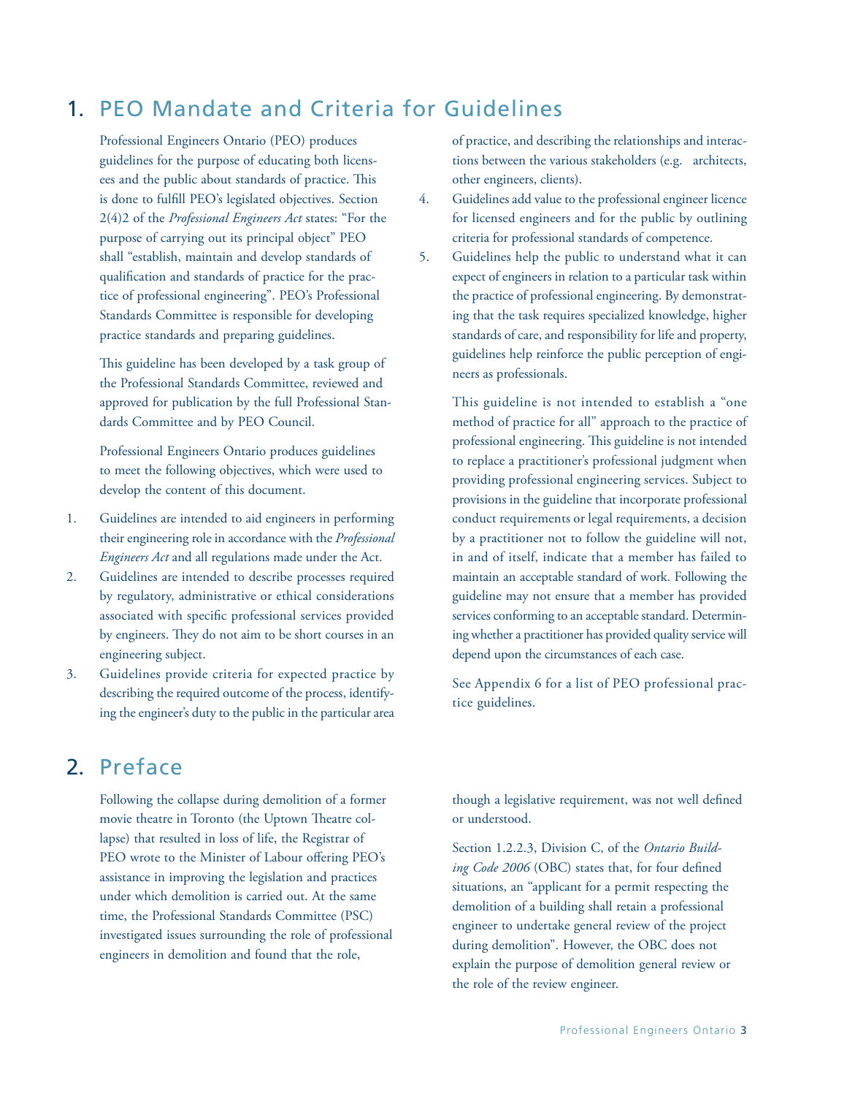## 1. PEO Mandate and Criteria for Guidelines

Professional Engineers Ontario (PEO) produces guidelines for the purpose of educating both licensees and the public about standards of practice. This is done to fulfill PEO's legislated objectives. Section 2(4)2 of the *Professional Engineers Act* states: "For the purpose of carrying out its principal object" PEO shall "establish, maintain and develop standards of qualification and standards of practice for the practice of professional engineering". PEO's Professional Standards Committee is responsible for developing practice standards and preparing guidelines.

This guideline has been developed by a task group of the Professional Standards Committee, reviewed and approved for publication by the full Professional Standards Committee and by PEO Council.

Professional Engineers Ontario produces guidelines to meet the following objectives, which were used to develop the content of this document.

- 1. Guidelines are intended to aid engineers in performing their engineering role in accordance with the *Professional Engineers Act* and all regulations made under the Act.
- 2. Guidelines are intended to describe processes required by regulatory, administrative or ethical considerations associated with specific professional services provided by engineers. They do not aim to be short courses in an engineering subject.
- 3. Guidelines provide criteria for expected practice by describing the required outcome of the process, identifying the engineer's duty to the public in the particular area

of practice, and describing the relationships and interactions between the various stakeholders (e.g. architects, other engineers, clients).

- 4. Guidelines add value to the professional engineer licence for licensed engineers and for the public by outlining criteria for professional standards of competence.
- 5. Guidelines help the public to understand what it can expect of engineers in relation to a particular task within the practice of professional engineering. By demonstrating that the task requires specialized knowledge, higher standards of care, and responsibility for life and property, guidelines help reinforce the public perception of engineers as professionals.

This guideline is not intended to establish a "one method of practice for all" approach to the practice of professional engineering. This guideline is not intended to replace a practitioner's professional judgment when providing professional engineering services. Subject to provisions in the guideline that incorporate professional conduct requirements or legal requirements, a decision by a practitioner not to follow the guideline will not, in and of itself, indicate that a member has failed to maintain an acceptable standard of work. Following the guideline may not ensure that a member has provided services conforming to an acceptable standard. Determining whether a practitioner has provided quality service will depend upon the circumstances of each case.

See Appendix 6 for a list of PEO professional practice guidelines.

## 2. Preface

Following the collapse during demolition of a former movie theatre in Toronto (the Uptown Theatre collapse) that resulted in loss of life, the Registrar of PEO wrote to the Minister of Labour offering PEO's assistance in improving the legislation and practices under which demolition is carried out. At the same time, the Professional Standards Committee (PSC) investigated issues surrounding the role of professional engineers in demolition and found that the role,

though a legislative requirement, was not well defined or understood.

Section 1.2.2.3, Division C, of the *Ontario Building Code 2006* (OBC) states that, for four defined situations, an "applicant for a permit respecting the demolition of a building shall retain a professional engineer to undertake general review of the project during demolition". However, the OBC does not explain the purpose of demolition general review or the role of the review engineer.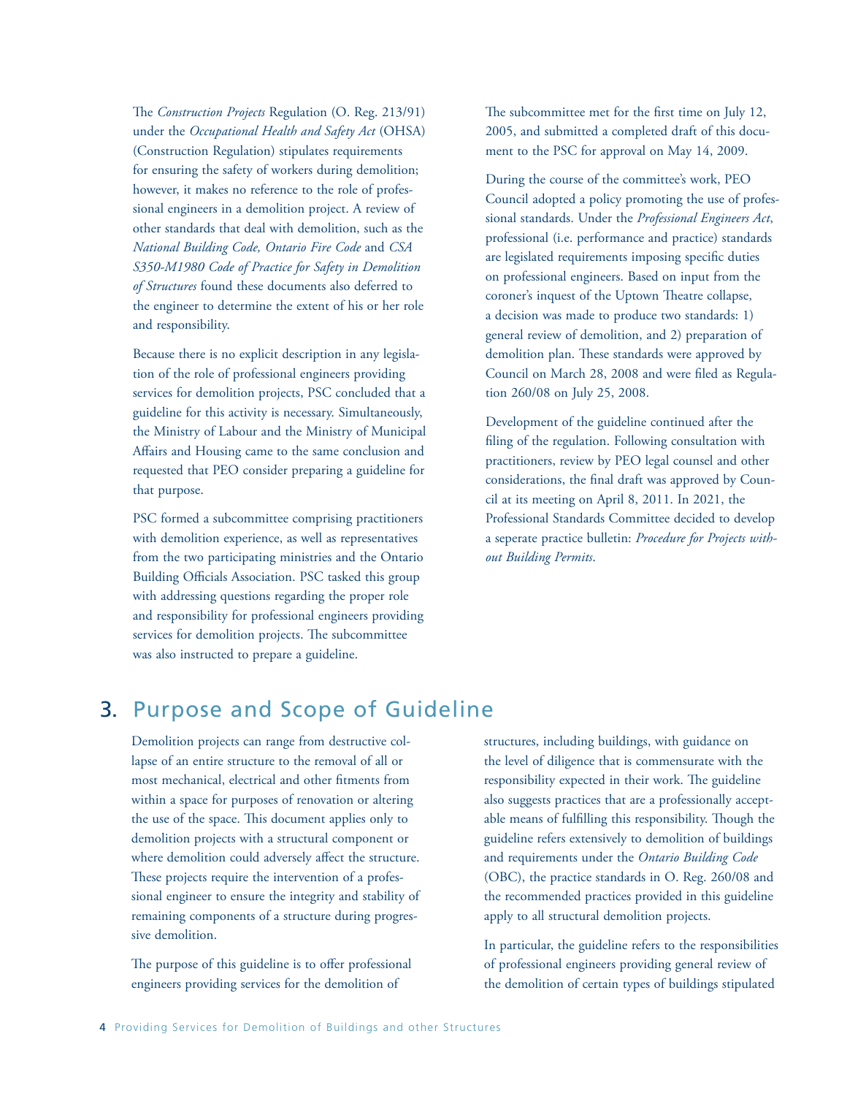The *Construction Projects* Regulation (O. Reg. 213/91) under the *Occupational Health and Safety Act* (OHSA) (Construction Regulation) stipulates requirements for ensuring the safety of workers during demolition; however, it makes no reference to the role of professional engineers in a demolition project. A review of other standards that deal with demolition, such as the *National Building Code, Ontario Fire Code* and *CSA S350-M1980 Code of Practice for Safety in Demolition of Structures* found these documents also deferred to the engineer to determine the extent of his or her role and responsibility.

Because there is no explicit description in any legislation of the role of professional engineers providing services for demolition projects, PSC concluded that a guideline for this activity is necessary. Simultaneously, the Ministry of Labour and the Ministry of Municipal Affairs and Housing came to the same conclusion and requested that PEO consider preparing a guideline for that purpose.

PSC formed a subcommittee comprising practitioners with demolition experience, as well as representatives from the two participating ministries and the Ontario Building Officials Association. PSC tasked this group with addressing questions regarding the proper role and responsibility for professional engineers providing services for demolition projects. The subcommittee was also instructed to prepare a guideline.

The subcommittee met for the first time on July 12, 2005, and submitted a completed draft of this document to the PSC for approval on May 14, 2009.

During the course of the committee's work, PEO Council adopted a policy promoting the use of professional standards. Under the *Professional Engineers Act*, professional (i.e. performance and practice) standards are legislated requirements imposing specific duties on professional engineers. Based on input from the coroner's inquest of the Uptown Theatre collapse, a decision was made to produce two standards: 1) general review of demolition, and 2) preparation of demolition plan. These standards were approved by Council on March 28, 2008 and were filed as Regulation 260/08 on July 25, 2008.

Development of the guideline continued after the filing of the regulation. Following consultation with practitioners, review by PEO legal counsel and other considerations, the final draft was approved by Council at its meeting on April 8, 2011. In 2021, the Professional Standards Committee decided to develop a seperate practice bulletin: *Procedure for Projects without Building Permits*.

## 3. Purpose and Scope of Guideline

Demolition projects can range from destructive collapse of an entire structure to the removal of all or most mechanical, electrical and other fitments from within a space for purposes of renovation or altering the use of the space. This document applies only to demolition projects with a structural component or where demolition could adversely affect the structure. These projects require the intervention of a professional engineer to ensure the integrity and stability of remaining components of a structure during progressive demolition.

The purpose of this guideline is to offer professional engineers providing services for the demolition of

structures, including buildings, with guidance on the level of diligence that is commensurate with the responsibility expected in their work. The guideline also suggests practices that are a professionally acceptable means of fulfilling this responsibility. Though the guideline refers extensively to demolition of buildings and requirements under the *Ontario Building Code*  (OBC), the practice standards in O. Reg. 260/08 and the recommended practices provided in this guideline apply to all structural demolition projects.

In particular, the guideline refers to the responsibilities of professional engineers providing general review of the demolition of certain types of buildings stipulated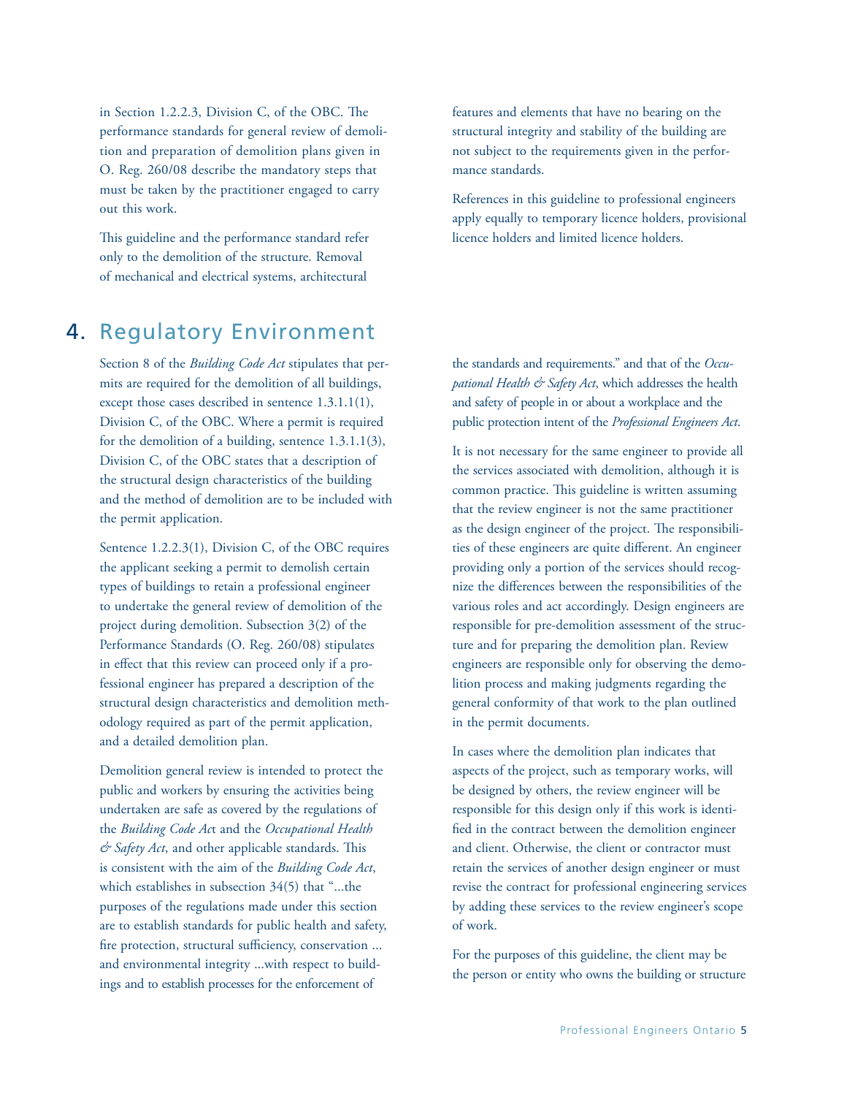in Section 1.2.2.3, Division C, of the OBC. The performance standards for general review of demolition and preparation of demolition plans given in O. Reg. 260/08 describe the mandatory steps that must be taken by the practitioner engaged to carry out this work.

This guideline and the performance standard refer only to the demolition of the structure. Removal of mechanical and electrical systems, architectural

## 4. Regulatory Environment

Section 8 of the *Building Code Act* stipulates that permits are required for the demolition of all buildings, except those cases described in sentence 1.3.1.1(1), Division C, of the OBC. Where a permit is required for the demolition of a building, sentence 1.3.1.1(3), Division C, of the OBC states that a description of the structural design characteristics of the building and the method of demolition are to be included with the permit application.

Sentence 1.2.2.3(1), Division C, of the OBC requires the applicant seeking a permit to demolish certain types of buildings to retain a professional engineer to undertake the general review of demolition of the project during demolition. Subsection 3(2) of the Performance Standards (O. Reg. 260/08) stipulates in effect that this review can proceed only if a professional engineer has prepared a description of the structural design characteristics and demolition methodology required as part of the permit application, and a detailed demolition plan.

Demolition general review is intended to protect the public and workers by ensuring the activities being undertaken are safe as covered by the regulations of the *Building Code Ac*t and the *Occupational Health & Safety Act*, and other applicable standards. This is consistent with the aim of the *Building Code Act*, which establishes in subsection 34(5) that "...the purposes of the regulations made under this section are to establish standards for public health and safety, fire protection, structural sufficiency, conservation ... and environmental integrity ...with respect to buildings and to establish processes for the enforcement of

features and elements that have no bearing on the structural integrity and stability of the building are not subject to the requirements given in the performance standards.

References in this guideline to professional engineers apply equally to temporary licence holders, provisional licence holders and limited licence holders.

the standards and requirements." and that of the *Occupational Health & Safety Act*, which addresses the health and safety of people in or about a workplace and the public protection intent of the *Professional Engineers Act*.

It is not necessary for the same engineer to provide all the services associated with demolition, although it is common practice. This guideline is written assuming that the review engineer is not the same practitioner as the design engineer of the project. The responsibilities of these engineers are quite different. An engineer providing only a portion of the services should recognize the differences between the responsibilities of the various roles and act accordingly. Design engineers are responsible for pre-demolition assessment of the structure and for preparing the demolition plan. Review engineers are responsible only for observing the demolition process and making judgments regarding the general conformity of that work to the plan outlined in the permit documents.

In cases where the demolition plan indicates that aspects of the project, such as temporary works, will be designed by others, the review engineer will be responsible for this design only if this work is identified in the contract between the demolition engineer and client. Otherwise, the client or contractor must retain the services of another design engineer or must revise the contract for professional engineering services by adding these services to the review engineer's scope of work.

For the purposes of this guideline, the client may be the person or entity who owns the building or structure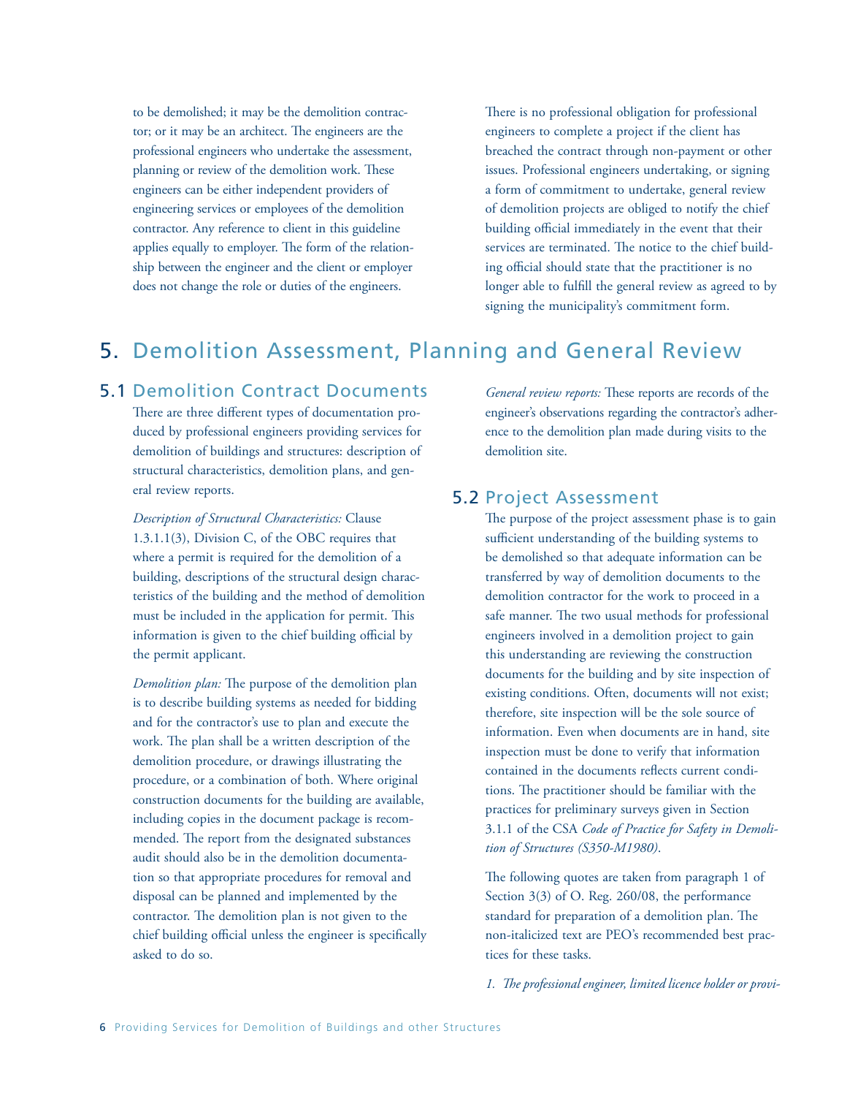to be demolished; it may be the demolition contractor; or it may be an architect. The engineers are the professional engineers who undertake the assessment, planning or review of the demolition work. These engineers can be either independent providers of engineering services or employees of the demolition contractor. Any reference to client in this guideline applies equally to employer. The form of the relationship between the engineer and the client or employer does not change the role or duties of the engineers.

There is no professional obligation for professional engineers to complete a project if the client has breached the contract through non-payment or other issues. Professional engineers undertaking, or signing a form of commitment to undertake, general review of demolition projects are obliged to notify the chief building official immediately in the event that their services are terminated. The notice to the chief building official should state that the practitioner is no longer able to fulfill the general review as agreed to by signing the municipality's commitment form.

## 5. Demolition Assessment, Planning and General Review

### 5.1 Demolition Contract Documents

There are three different types of documentation produced by professional engineers providing services for demolition of buildings and structures: description of structural characteristics, demolition plans, and general review reports.

*Description of Structural Characteristics:* Clause 1.3.1.1(3), Division C, of the OBC requires that where a permit is required for the demolition of a building, descriptions of the structural design characteristics of the building and the method of demolition must be included in the application for permit. This information is given to the chief building official by the permit applicant.

*Demolition plan:* The purpose of the demolition plan is to describe building systems as needed for bidding and for the contractor's use to plan and execute the work. The plan shall be a written description of the demolition procedure, or drawings illustrating the procedure, or a combination of both. Where original construction documents for the building are available, including copies in the document package is recommended. The report from the designated substances audit should also be in the demolition documentation so that appropriate procedures for removal and disposal can be planned and implemented by the contractor. The demolition plan is not given to the chief building official unless the engineer is specifically asked to do so.

*General review reports:* These reports are records of the engineer's observations regarding the contractor's adherence to the demolition plan made during visits to the demolition site.

### 5.2 Project Assessment

The purpose of the project assessment phase is to gain sufficient understanding of the building systems to be demolished so that adequate information can be transferred by way of demolition documents to the demolition contractor for the work to proceed in a safe manner. The two usual methods for professional engineers involved in a demolition project to gain this understanding are reviewing the construction documents for the building and by site inspection of existing conditions. Often, documents will not exist; therefore, site inspection will be the sole source of information. Even when documents are in hand, site inspection must be done to verify that information contained in the documents reflects current conditions. The practitioner should be familiar with the practices for preliminary surveys given in Section 3.1.1 of the CSA *Code of Practice for Safety in Demolition of Structures (S350-M1980)*.

The following quotes are taken from paragraph 1 of Section 3(3) of O. Reg. 260/08, the performance standard for preparation of a demolition plan. The non-italicized text are PEO's recommended best practices for these tasks.

*1. The professional engineer, limited licence holder or provi-*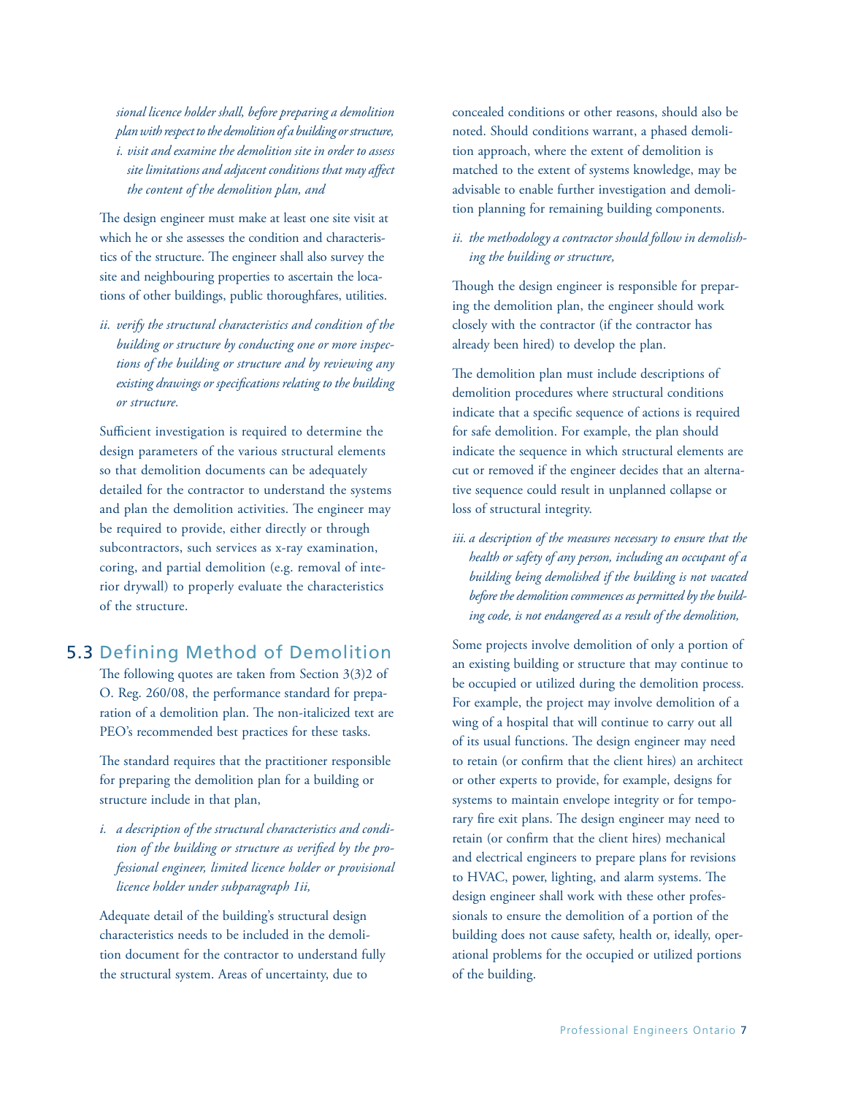*sional licence holder shall, before preparing a demolition plan with respect to the demolition of a building or structure, i. visit and examine the demolition site in order to assess site limitations and adjacent conditions that may affect the content of the demolition plan, and*

The design engineer must make at least one site visit at which he or she assesses the condition and characteristics of the structure. The engineer shall also survey the site and neighbouring properties to ascertain the locations of other buildings, public thoroughfares, utilities.

*ii. verify the structural characteristics and condition of the building or structure by conducting one or more inspections of the building or structure and by reviewing any existing drawings or specifications relating to the building or structure.*

Sufficient investigation is required to determine the design parameters of the various structural elements so that demolition documents can be adequately detailed for the contractor to understand the systems and plan the demolition activities. The engineer may be required to provide, either directly or through subcontractors, such services as x-ray examination, coring, and partial demolition (e.g. removal of interior drywall) to properly evaluate the characteristics of the structure.

### 5.3 Defining Method of Demolition

The following quotes are taken from Section 3(3)2 of O. Reg. 260/08, the performance standard for preparation of a demolition plan. The non-italicized text are PEO's recommended best practices for these tasks.

The standard requires that the practitioner responsible for preparing the demolition plan for a building or structure include in that plan,

*i. a description of the structural characteristics and condition of the building or structure as verified by the professional engineer, limited licence holder or provisional licence holder under subparagraph 1ii,*

Adequate detail of the building's structural design characteristics needs to be included in the demolition document for the contractor to understand fully the structural system. Areas of uncertainty, due to

concealed conditions or other reasons, should also be noted. Should conditions warrant, a phased demolition approach, where the extent of demolition is matched to the extent of systems knowledge, may be advisable to enable further investigation and demolition planning for remaining building components.

### *ii. the methodology a contractor should follow in demolishing the building or structure,*

Though the design engineer is responsible for preparing the demolition plan, the engineer should work closely with the contractor (if the contractor has already been hired) to develop the plan.

The demolition plan must include descriptions of demolition procedures where structural conditions indicate that a specific sequence of actions is required for safe demolition. For example, the plan should indicate the sequence in which structural elements are cut or removed if the engineer decides that an alternative sequence could result in unplanned collapse or loss of structural integrity.

*iii. a description of the measures necessary to ensure that the health or safety of any person, including an occupant of a building being demolished if the building is not vacated before the demolition commences as permitted by the building code, is not endangered as a result of the demolition,*

Some projects involve demolition of only a portion of an existing building or structure that may continue to be occupied or utilized during the demolition process. For example, the project may involve demolition of a wing of a hospital that will continue to carry out all of its usual functions. The design engineer may need to retain (or confirm that the client hires) an architect or other experts to provide, for example, designs for systems to maintain envelope integrity or for temporary fire exit plans. The design engineer may need to retain (or confirm that the client hires) mechanical and electrical engineers to prepare plans for revisions to HVAC, power, lighting, and alarm systems. The design engineer shall work with these other professionals to ensure the demolition of a portion of the building does not cause safety, health or, ideally, operational problems for the occupied or utilized portions of the building.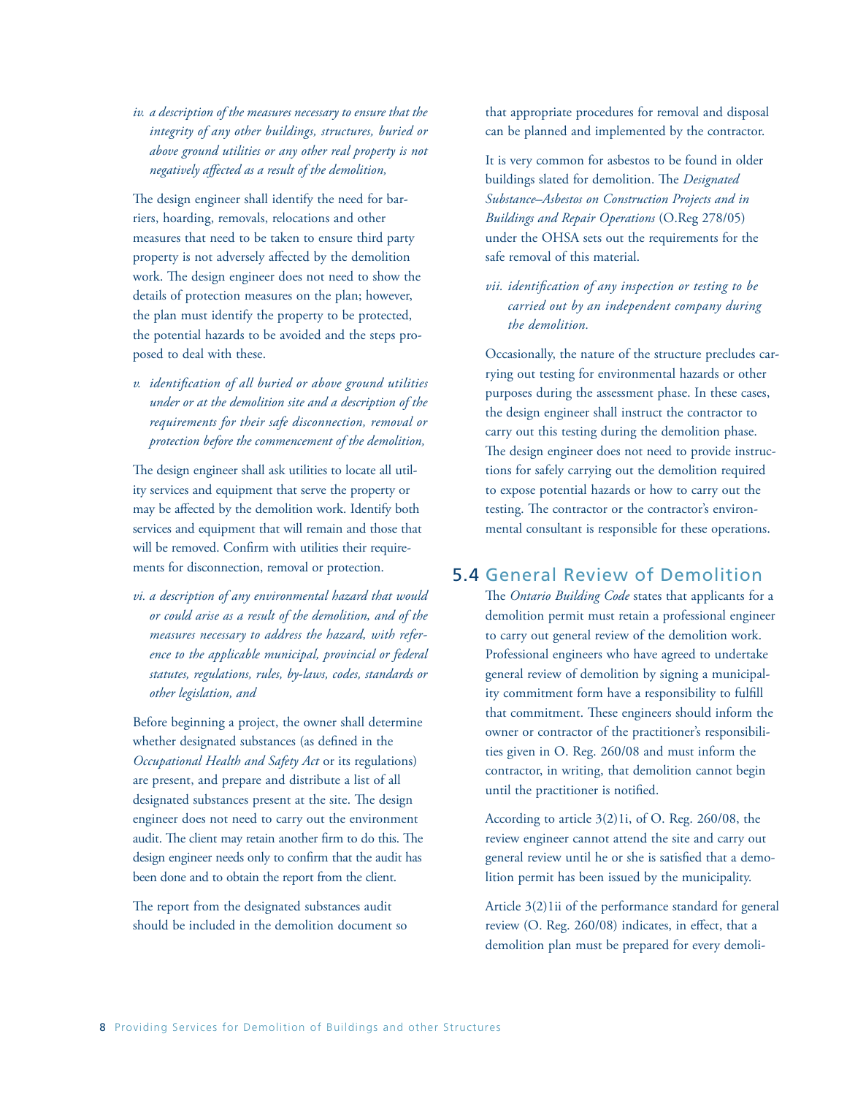*iv. a description of the measures necessary to ensure that the integrity of any other buildings, structures, buried or above ground utilities or any other real property is not negatively affected as a result of the demolition,*

The design engineer shall identify the need for barriers, hoarding, removals, relocations and other measures that need to be taken to ensure third party property is not adversely affected by the demolition work. The design engineer does not need to show the details of protection measures on the plan; however, the plan must identify the property to be protected, the potential hazards to be avoided and the steps proposed to deal with these.

*v. identification of all buried or above ground utilities under or at the demolition site and a description of the requirements for their safe disconnection, removal or protection before the commencement of the demolition,*

The design engineer shall ask utilities to locate all utility services and equipment that serve the property or may be affected by the demolition work. Identify both services and equipment that will remain and those that will be removed. Confirm with utilities their requirements for disconnection, removal or protection.

*vi. a description of any environmental hazard that would or could arise as a result of the demolition, and of the measures necessary to address the hazard, with reference to the applicable municipal, provincial or federal statutes, regulations, rules, by-laws, codes, standards or other legislation, and*

Before beginning a project, the owner shall determine whether designated substances (as defined in the *Occupational Health and Safety Act* or its regulations) are present, and prepare and distribute a list of all designated substances present at the site. The design engineer does not need to carry out the environment audit. The client may retain another firm to do this. The design engineer needs only to confirm that the audit has been done and to obtain the report from the client.

The report from the designated substances audit should be included in the demolition document so that appropriate procedures for removal and disposal can be planned and implemented by the contractor.

It is very common for asbestos to be found in older buildings slated for demolition. The *Designated Substance–Asbestos on Construction Projects and in Buildings and Repair Operations* (O.Reg 278/05) under the OHSA sets out the requirements for the safe removal of this material.

*vii. identification of any inspection or testing to be carried out by an independent company during the demolition.*

Occasionally, the nature of the structure precludes carrying out testing for environmental hazards or other purposes during the assessment phase. In these cases, the design engineer shall instruct the contractor to carry out this testing during the demolition phase. The design engineer does not need to provide instructions for safely carrying out the demolition required to expose potential hazards or how to carry out the testing. The contractor or the contractor's environmental consultant is responsible for these operations.

### 5.4 General Review of Demolition

The *Ontario Building Code* states that applicants for a demolition permit must retain a professional engineer to carry out general review of the demolition work. Professional engineers who have agreed to undertake general review of demolition by signing a municipality commitment form have a responsibility to fulfill that commitment. These engineers should inform the owner or contractor of the practitioner's responsibilities given in O. Reg. 260/08 and must inform the contractor, in writing, that demolition cannot begin until the practitioner is notified.

According to article 3(2)1i, of O. Reg. 260/08, the review engineer cannot attend the site and carry out general review until he or she is satisfied that a demolition permit has been issued by the municipality.

Article 3(2)1ii of the performance standard for general review (O. Reg. 260/08) indicates, in effect, that a demolition plan must be prepared for every demoli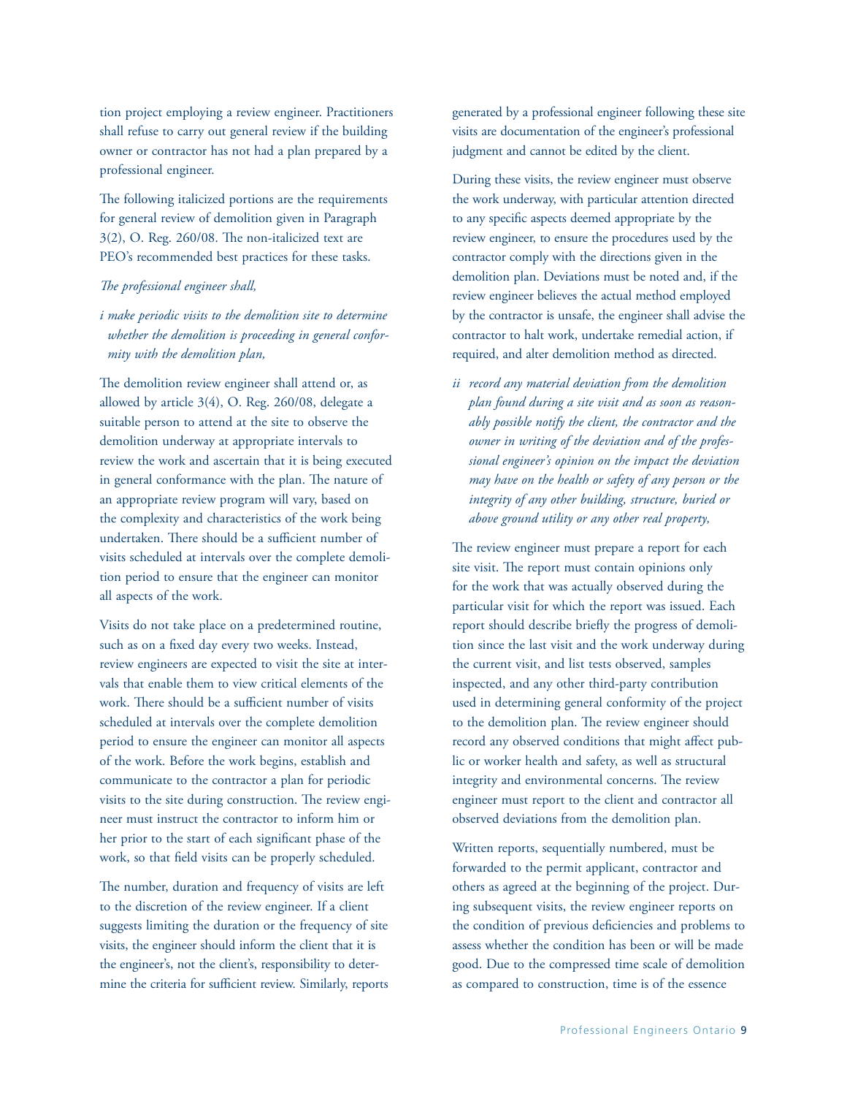tion project employing a review engineer. Practitioners shall refuse to carry out general review if the building owner or contractor has not had a plan prepared by a professional engineer.

The following italicized portions are the requirements for general review of demolition given in Paragraph 3(2), O. Reg. 260/08. The non-italicized text are PEO's recommended best practices for these tasks.

#### *The professional engineer shall,*

*i make periodic visits to the demolition site to determine whether the demolition is proceeding in general conformity with the demolition plan,*

The demolition review engineer shall attend or, as allowed by article 3(4), O. Reg. 260/08, delegate a suitable person to attend at the site to observe the demolition underway at appropriate intervals to review the work and ascertain that it is being executed in general conformance with the plan. The nature of an appropriate review program will vary, based on the complexity and characteristics of the work being undertaken. There should be a sufficient number of visits scheduled at intervals over the complete demolition period to ensure that the engineer can monitor all aspects of the work.

Visits do not take place on a predetermined routine, such as on a fixed day every two weeks. Instead, review engineers are expected to visit the site at intervals that enable them to view critical elements of the work. There should be a sufficient number of visits scheduled at intervals over the complete demolition period to ensure the engineer can monitor all aspects of the work. Before the work begins, establish and communicate to the contractor a plan for periodic visits to the site during construction. The review engineer must instruct the contractor to inform him or her prior to the start of each significant phase of the work, so that field visits can be properly scheduled.

The number, duration and frequency of visits are left to the discretion of the review engineer. If a client suggests limiting the duration or the frequency of site visits, the engineer should inform the client that it is the engineer's, not the client's, responsibility to determine the criteria for sufficient review. Similarly, reports generated by a professional engineer following these site visits are documentation of the engineer's professional judgment and cannot be edited by the client.

During these visits, the review engineer must observe the work underway, with particular attention directed to any specific aspects deemed appropriate by the review engineer, to ensure the procedures used by the contractor comply with the directions given in the demolition plan. Deviations must be noted and, if the review engineer believes the actual method employed by the contractor is unsafe, the engineer shall advise the contractor to halt work, undertake remedial action, if required, and alter demolition method as directed.

*ii record any material deviation from the demolition plan found during a site visit and as soon as reasonably possible notify the client, the contractor and the owner in writing of the deviation and of the professional engineer's opinion on the impact the deviation may have on the health or safety of any person or the integrity of any other building, structure, buried or above ground utility or any other real property,*

The review engineer must prepare a report for each site visit. The report must contain opinions only for the work that was actually observed during the particular visit for which the report was issued. Each report should describe briefly the progress of demolition since the last visit and the work underway during the current visit, and list tests observed, samples inspected, and any other third-party contribution used in determining general conformity of the project to the demolition plan. The review engineer should record any observed conditions that might affect public or worker health and safety, as well as structural integrity and environmental concerns. The review engineer must report to the client and contractor all observed deviations from the demolition plan.

Written reports, sequentially numbered, must be forwarded to the permit applicant, contractor and others as agreed at the beginning of the project. During subsequent visits, the review engineer reports on the condition of previous deficiencies and problems to assess whether the condition has been or will be made good. Due to the compressed time scale of demolition as compared to construction, time is of the essence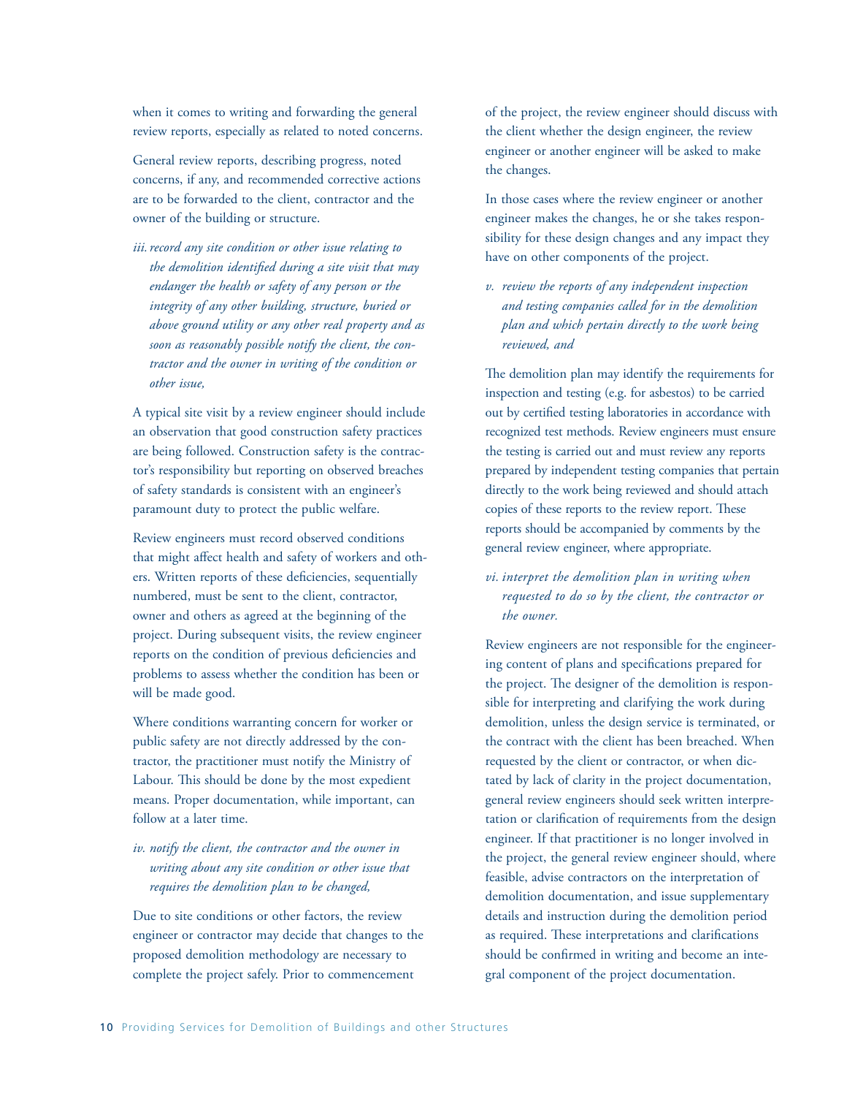when it comes to writing and forwarding the general review reports, especially as related to noted concerns.

General review reports, describing progress, noted concerns, if any, and recommended corrective actions are to be forwarded to the client, contractor and the owner of the building or structure.

*iii. record any site condition or other issue relating to the demolition identified during a site visit that may endanger the health or safety of any person or the integrity of any other building, structure, buried or above ground utility or any other real property and as soon as reasonably possible notify the client, the contractor and the owner in writing of the condition or other issue,*

A typical site visit by a review engineer should include an observation that good construction safety practices are being followed. Construction safety is the contractor's responsibility but reporting on observed breaches of safety standards is consistent with an engineer's paramount duty to protect the public welfare.

Review engineers must record observed conditions that might affect health and safety of workers and others. Written reports of these deficiencies, sequentially numbered, must be sent to the client, contractor, owner and others as agreed at the beginning of the project. During subsequent visits, the review engineer reports on the condition of previous deficiencies and problems to assess whether the condition has been or will be made good.

Where conditions warranting concern for worker or public safety are not directly addressed by the contractor, the practitioner must notify the Ministry of Labour. This should be done by the most expedient means. Proper documentation, while important, can follow at a later time.

### *iv. notify the client, the contractor and the owner in writing about any site condition or other issue that requires the demolition plan to be changed,*

Due to site conditions or other factors, the review engineer or contractor may decide that changes to the proposed demolition methodology are necessary to complete the project safely. Prior to commencement

of the project, the review engineer should discuss with the client whether the design engineer, the review engineer or another engineer will be asked to make the changes.

In those cases where the review engineer or another engineer makes the changes, he or she takes responsibility for these design changes and any impact they have on other components of the project.

*v. review the reports of any independent inspection and testing companies called for in the demolition plan and which pertain directly to the work being reviewed, and*

The demolition plan may identify the requirements for inspection and testing (e.g. for asbestos) to be carried out by certified testing laboratories in accordance with recognized test methods. Review engineers must ensure the testing is carried out and must review any reports prepared by independent testing companies that pertain directly to the work being reviewed and should attach copies of these reports to the review report. These reports should be accompanied by comments by the general review engineer, where appropriate.

*vi. interpret the demolition plan in writing when requested to do so by the client, the contractor or the owner.*

Review engineers are not responsible for the engineering content of plans and specifications prepared for the project. The designer of the demolition is responsible for interpreting and clarifying the work during demolition, unless the design service is terminated, or the contract with the client has been breached. When requested by the client or contractor, or when dictated by lack of clarity in the project documentation, general review engineers should seek written interpretation or clarification of requirements from the design engineer. If that practitioner is no longer involved in the project, the general review engineer should, where feasible, advise contractors on the interpretation of demolition documentation, and issue supplementary details and instruction during the demolition period as required. These interpretations and clarifications should be confirmed in writing and become an integral component of the project documentation.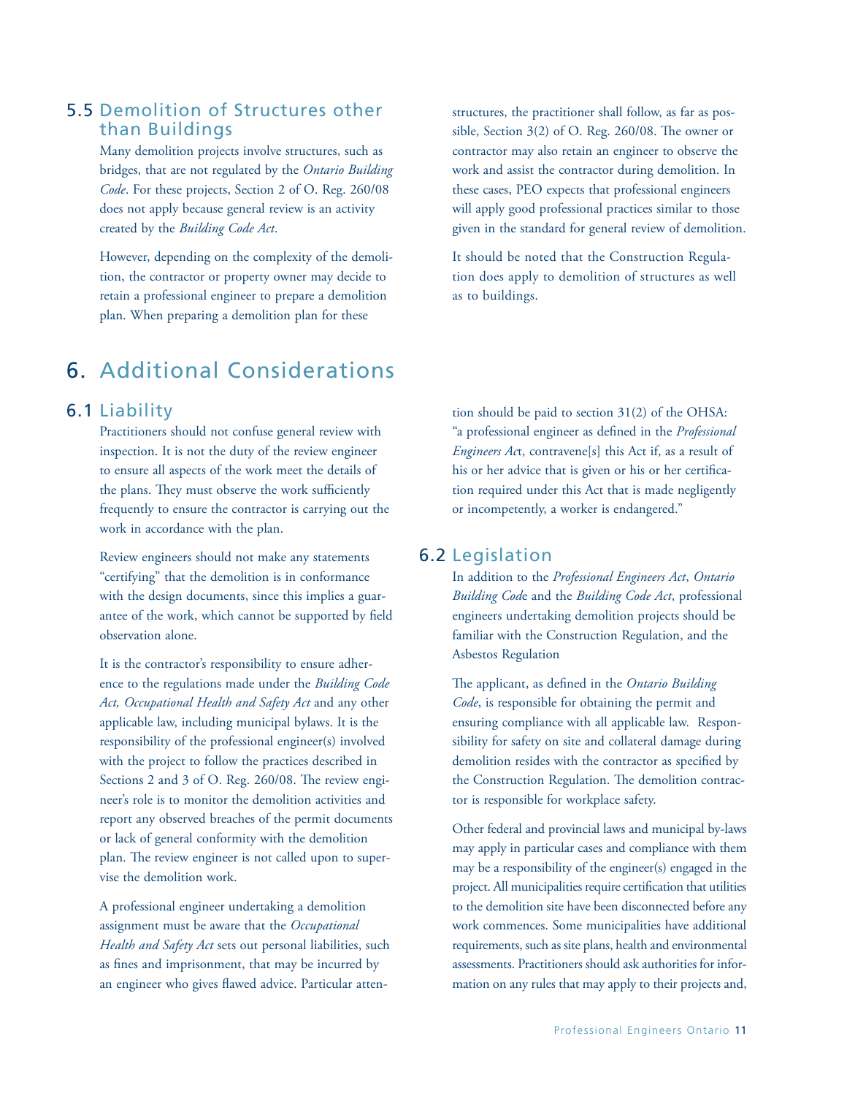### 5.5 Demolition of Structures other than Buildings

Many demolition projects involve structures, such as bridges, that are not regulated by the *Ontario Building Code*. For these projects, Section 2 of O. Reg. 260/08 does not apply because general review is an activity created by the *Building Code Act*.

However, depending on the complexity of the demolition, the contractor or property owner may decide to retain a professional engineer to prepare a demolition plan. When preparing a demolition plan for these

structures, the practitioner shall follow, as far as possible, Section 3(2) of O. Reg. 260/08. The owner or contractor may also retain an engineer to observe the work and assist the contractor during demolition. In these cases, PEO expects that professional engineers will apply good professional practices similar to those given in the standard for general review of demolition.

It should be noted that the Construction Regulation does apply to demolition of structures as well as to buildings.

## 6. Additional Considerations

### 6.1 Liability

Practitioners should not confuse general review with inspection. It is not the duty of the review engineer to ensure all aspects of the work meet the details of the plans. They must observe the work sufficiently frequently to ensure the contractor is carrying out the work in accordance with the plan.

Review engineers should not make any statements "certifying" that the demolition is in conformance with the design documents, since this implies a guarantee of the work, which cannot be supported by field observation alone.

It is the contractor's responsibility to ensure adherence to the regulations made under the *Building Code Act, Occupational Health and Safety Act* and any other applicable law, including municipal bylaws. It is the responsibility of the professional engineer(s) involved with the project to follow the practices described in Sections 2 and 3 of O. Reg. 260/08. The review engineer's role is to monitor the demolition activities and report any observed breaches of the permit documents or lack of general conformity with the demolition plan. The review engineer is not called upon to supervise the demolition work.

A professional engineer undertaking a demolition assignment must be aware that the *Occupational Health and Safety Act* sets out personal liabilities, such as fines and imprisonment, that may be incurred by an engineer who gives flawed advice. Particular attention should be paid to section 31(2) of the OHSA: "a professional engineer as defined in the *Professional Engineers Ac*t, contravene[s] this Act if, as a result of his or her advice that is given or his or her certification required under this Act that is made negligently or incompetently, a worker is endangered."

### 6.2 Legislation

In addition to the *Professional Engineers Act*, *Ontario Building Cod*e and the *Building Code Act*, professional engineers undertaking demolition projects should be familiar with the Construction Regulation, and the Asbestos Regulation

The applicant, as defined in the *Ontario Building Code*, is responsible for obtaining the permit and ensuring compliance with all applicable law. Responsibility for safety on site and collateral damage during demolition resides with the contractor as specified by the Construction Regulation. The demolition contractor is responsible for workplace safety.

Other federal and provincial laws and municipal by-laws may apply in particular cases and compliance with them may be a responsibility of the engineer(s) engaged in the project. All municipalities require certification that utilities to the demolition site have been disconnected before any work commences. Some municipalities have additional requirements, such as site plans, health and environmental assessments. Practitioners should ask authorities for information on any rules that may apply to their projects and,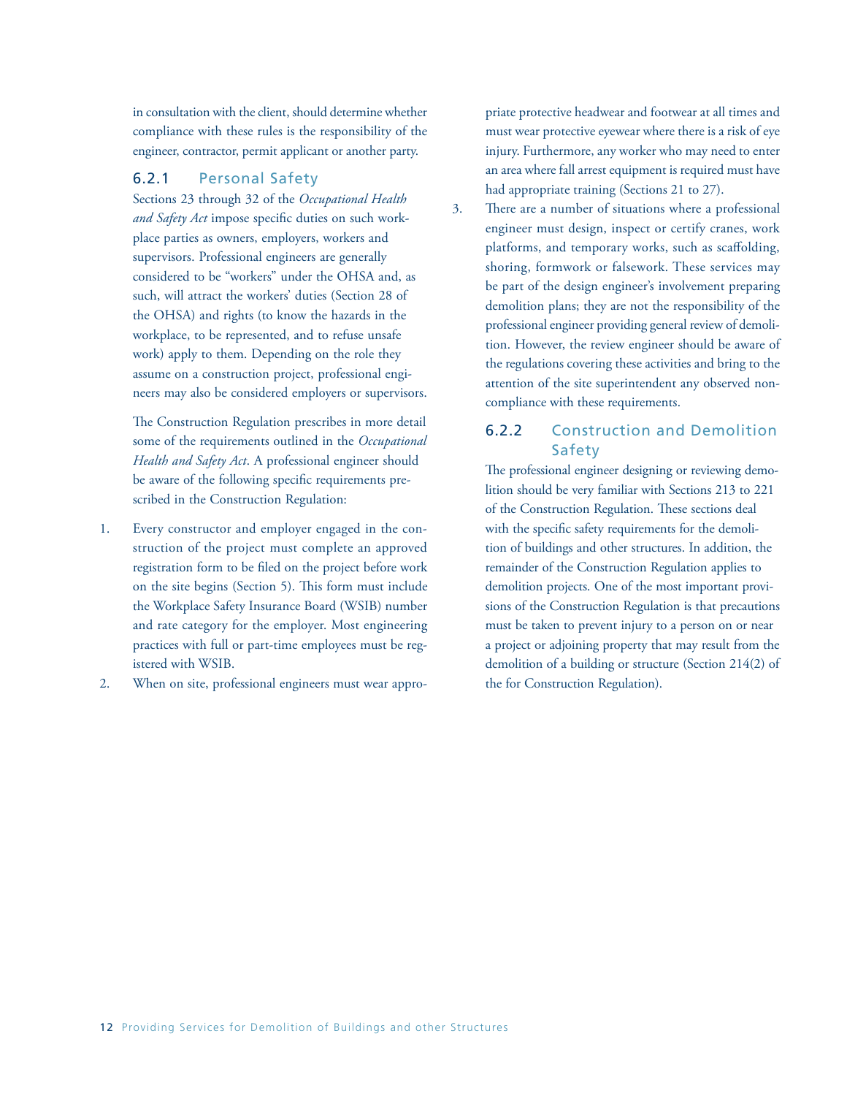in consultation with the client, should determine whether compliance with these rules is the responsibility of the engineer, contractor, permit applicant or another party.

#### 6.2.1 Personal Safety

Sections 23 through 32 of the *Occupational Health and Safety Act* impose specific duties on such workplace parties as owners, employers, workers and supervisors. Professional engineers are generally considered to be "workers" under the OHSA and, as such, will attract the workers' duties (Section 28 of the OHSA) and rights (to know the hazards in the workplace, to be represented, and to refuse unsafe work) apply to them. Depending on the role they assume on a construction project, professional engineers may also be considered employers or supervisors.

The Construction Regulation prescribes in more detail some of the requirements outlined in the *Occupational Health and Safety Act*. A professional engineer should be aware of the following specific requirements prescribed in the Construction Regulation:

- 1. Every constructor and employer engaged in the construction of the project must complete an approved registration form to be filed on the project before work on the site begins (Section 5). This form must include the Workplace Safety Insurance Board (WSIB) number and rate category for the employer. Most engineering practices with full or part-time employees must be registered with WSIB.
- 2. When on site, professional engineers must wear appro-

priate protective headwear and footwear at all times and must wear protective eyewear where there is a risk of eye injury. Furthermore, any worker who may need to enter an area where fall arrest equipment is required must have had appropriate training (Sections 21 to 27).

3. There are a number of situations where a professional engineer must design, inspect or certify cranes, work platforms, and temporary works, such as scaffolding, shoring, formwork or falsework. These services may be part of the design engineer's involvement preparing demolition plans; they are not the responsibility of the professional engineer providing general review of demolition. However, the review engineer should be aware of the regulations covering these activities and bring to the attention of the site superintendent any observed noncompliance with these requirements.

### 6.2.2 Construction and Demolition Safety

The professional engineer designing or reviewing demolition should be very familiar with Sections 213 to 221 of the Construction Regulation. These sections deal with the specific safety requirements for the demolition of buildings and other structures. In addition, the remainder of the Construction Regulation applies to demolition projects. One of the most important provisions of the Construction Regulation is that precautions must be taken to prevent injury to a person on or near a project or adjoining property that may result from the demolition of a building or structure (Section 214(2) of the for Construction Regulation).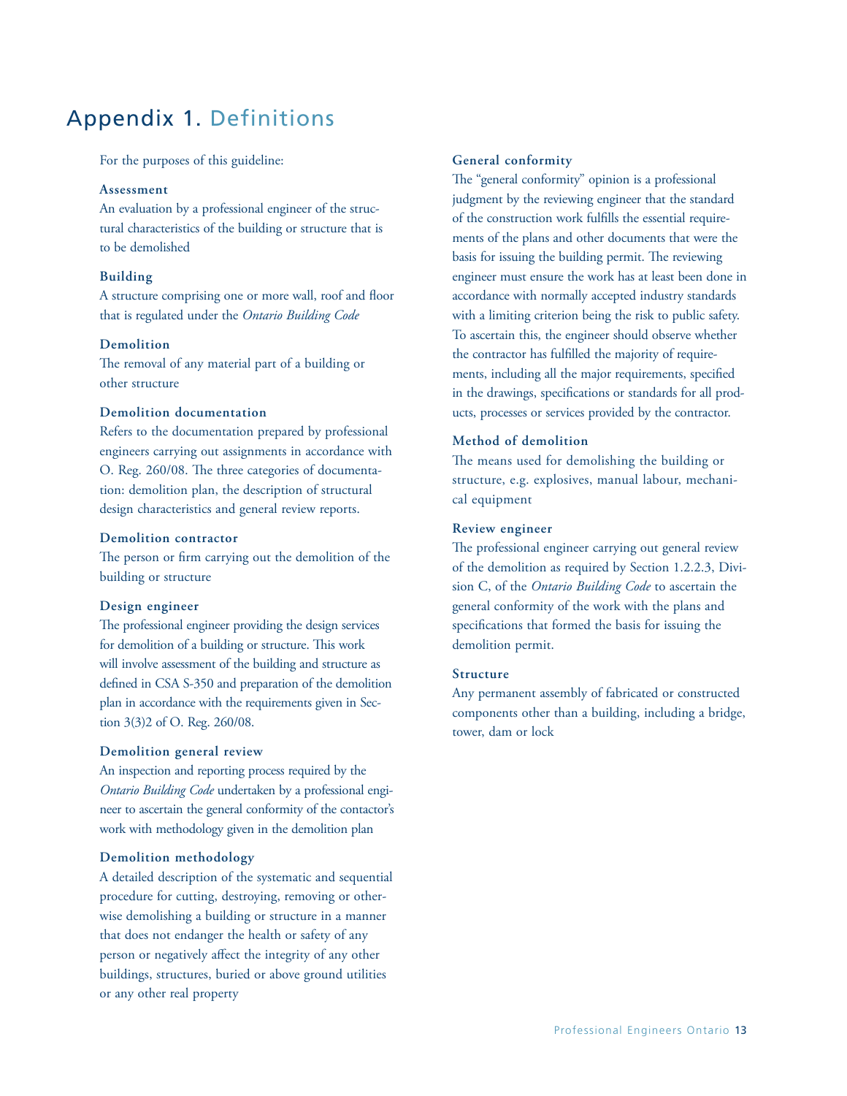## Appendix 1. Definitions

For the purposes of this guideline:

#### **Assessment**

An evaluation by a professional engineer of the structural characteristics of the building or structure that is to be demolished

#### **Building**

A structure comprising one or more wall, roof and floor that is regulated under the *Ontario Building Code*

#### **Demolition**

The removal of any material part of a building or other structure

#### **Demolition documentation**

Refers to the documentation prepared by professional engineers carrying out assignments in accordance with O. Reg. 260/08. The three categories of documentation: demolition plan, the description of structural design characteristics and general review reports.

#### **Demolition contractor**

The person or firm carrying out the demolition of the building or structure

#### **Design engineer**

The professional engineer providing the design services for demolition of a building or structure. This work will involve assessment of the building and structure as defined in CSA S-350 and preparation of the demolition plan in accordance with the requirements given in Section 3(3)2 of O. Reg. 260/08.

#### **Demolition general review**

An inspection and reporting process required by the *Ontario Building Code* undertaken by a professional engineer to ascertain the general conformity of the contactor's work with methodology given in the demolition plan

#### **Demolition methodology**

A detailed description of the systematic and sequential procedure for cutting, destroying, removing or otherwise demolishing a building or structure in a manner that does not endanger the health or safety of any person or negatively affect the integrity of any other buildings, structures, buried or above ground utilities or any other real property

#### **General conformity**

The "general conformity" opinion is a professional judgment by the reviewing engineer that the standard of the construction work fulfills the essential requirements of the plans and other documents that were the basis for issuing the building permit. The reviewing engineer must ensure the work has at least been done in accordance with normally accepted industry standards with a limiting criterion being the risk to public safety. To ascertain this, the engineer should observe whether the contractor has fulfilled the majority of requirements, including all the major requirements, specified in the drawings, specifications or standards for all products, processes or services provided by the contractor.

#### **Method of demolition**

The means used for demolishing the building or structure, e.g. explosives, manual labour, mechanical equipment

#### **Review engineer**

The professional engineer carrying out general review of the demolition as required by Section 1.2.2.3, Division C, of the *Ontario Building Code* to ascertain the general conformity of the work with the plans and specifications that formed the basis for issuing the demolition permit.

#### **Structure**

Any permanent assembly of fabricated or constructed components other than a building, including a bridge, tower, dam or lock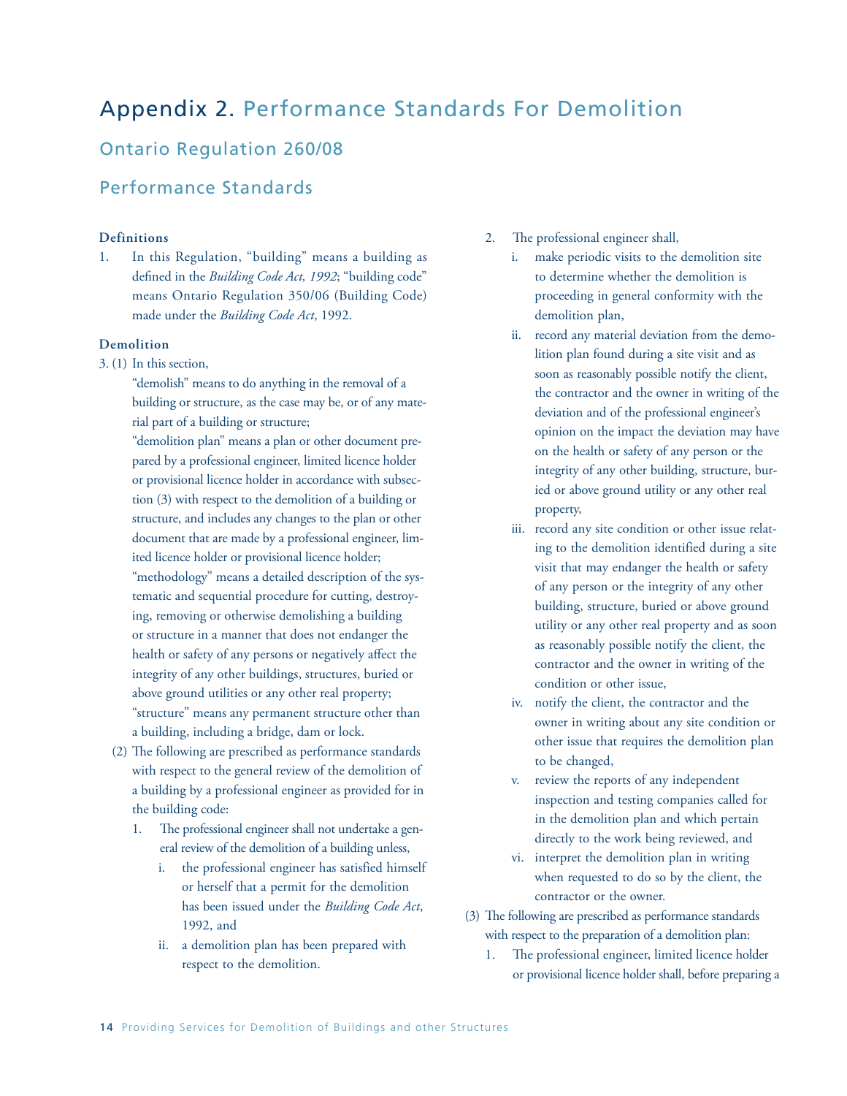## Appendix 2. Performance Standards For Demolition

## Ontario Regulation 260/08

### Performance Standards

#### **Definitions**

1. In this Regulation, "building" means a building as defined in the *Building Code Act, 1992*; "building code" means Ontario Regulation 350/06 (Building Code) made under the *Building Code Act*, 1992.

#### **Demolition**

3. (1) In this section,

"demolish" means to do anything in the removal of a building or structure, as the case may be, or of any material part of a building or structure;

"demolition plan" means a plan or other document prepared by a professional engineer, limited licence holder or provisional licence holder in accordance with subsection (3) with respect to the demolition of a building or structure, and includes any changes to the plan or other document that are made by a professional engineer, limited licence holder or provisional licence holder; "methodology" means a detailed description of the systematic and sequential procedure for cutting, destroying, removing or otherwise demolishing a building or structure in a manner that does not endanger the health or safety of any persons or negatively affect the integrity of any other buildings, structures, buried or above ground utilities or any other real property; "structure" means any permanent structure other than a building, including a bridge, dam or lock.

- (2) The following are prescribed as performance standards with respect to the general review of the demolition of a building by a professional engineer as provided for in the building code:
	- 1. The professional engineer shall not undertake a general review of the demolition of a building unless,
		- i. the professional engineer has satisfied himself or herself that a permit for the demolition has been issued under the *Building Code Act*, 1992, and
		- ii. a demolition plan has been prepared with respect to the demolition.
- 2. The professional engineer shall,
	- i. make periodic visits to the demolition site to determine whether the demolition is proceeding in general conformity with the demolition plan,
	- ii. record any material deviation from the demolition plan found during a site visit and as soon as reasonably possible notify the client, the contractor and the owner in writing of the deviation and of the professional engineer's opinion on the impact the deviation may have on the health or safety of any person or the integrity of any other building, structure, buried or above ground utility or any other real property,
	- iii. record any site condition or other issue relating to the demolition identified during a site visit that may endanger the health or safety of any person or the integrity of any other building, structure, buried or above ground utility or any other real property and as soon as reasonably possible notify the client, the contractor and the owner in writing of the condition or other issue,
	- iv. notify the client, the contractor and the owner in writing about any site condition or other issue that requires the demolition plan to be changed,
	- v. review the reports of any independent inspection and testing companies called for in the demolition plan and which pertain directly to the work being reviewed, and
	- vi. interpret the demolition plan in writing when requested to do so by the client, the contractor or the owner.
- (3) The following are prescribed as performance standards with respect to the preparation of a demolition plan:
	- 1. The professional engineer, limited licence holder or provisional licence holder shall, before preparing a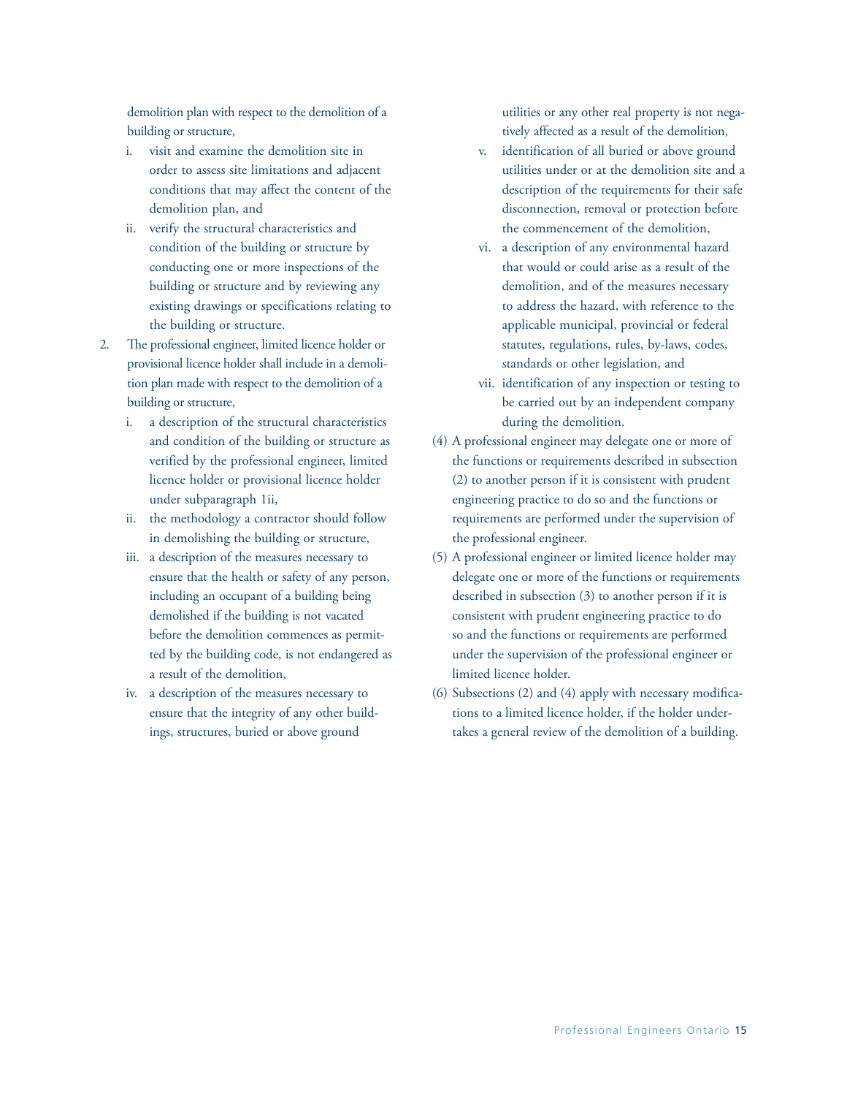demolition plan with respect to the demolition of a building or structure,

- i. visit and examine the demolition site in order to assess site limitations and adjacent conditions that may affect the content of the demolition plan, and
- ii. verify the structural characteristics and condition of the building or structure by conducting one or more inspections of the building or structure and by reviewing any existing drawings or specifications relating to the building or structure.
- 2. The professional engineer, limited licence holder or provisional licence holder shall include in a demolition plan made with respect to the demolition of a building or structure,
	- i. a description of the structural characteristics and condition of the building or structure as verified by the professional engineer, limited licence holder or provisional licence holder under subparagraph 1ii,
	- ii. the methodology a contractor should follow in demolishing the building or structure,
	- iii. a description of the measures necessary to ensure that the health or safety of any person, including an occupant of a building being demolished if the building is not vacated before the demolition commences as permitted by the building code, is not endangered as a result of the demolition,
	- iv. a description of the measures necessary to ensure that the integrity of any other buildings, structures, buried or above ground

utilities or any other real property is not negatively affected as a result of the demolition,

- v. identification of all buried or above ground utilities under or at the demolition site and a description of the requirements for their safe disconnection, removal or protection before the commencement of the demolition,
- vi. a description of any environmental hazard that would or could arise as a result of the demolition, and of the measures necessary to address the hazard, with reference to the applicable municipal, provincial or federal statutes, regulations, rules, by-laws, codes, standards or other legislation, and
- vii. identification of any inspection or testing to be carried out by an independent company during the demolition.
- (4) A professional engineer may delegate one or more of the functions or requirements described in subsection (2) to another person if it is consistent with prudent engineering practice to do so and the functions or requirements are performed under the supervision of the professional engineer.
- (5) A professional engineer or limited licence holder may delegate one or more of the functions or requirements described in subsection (3) to another person if it is consistent with prudent engineering practice to do so and the functions or requirements are performed under the supervision of the professional engineer or limited licence holder.
- (6) Subsections (2) and (4) apply with necessary modifications to a limited licence holder, if the holder undertakes a general review of the demolition of a building.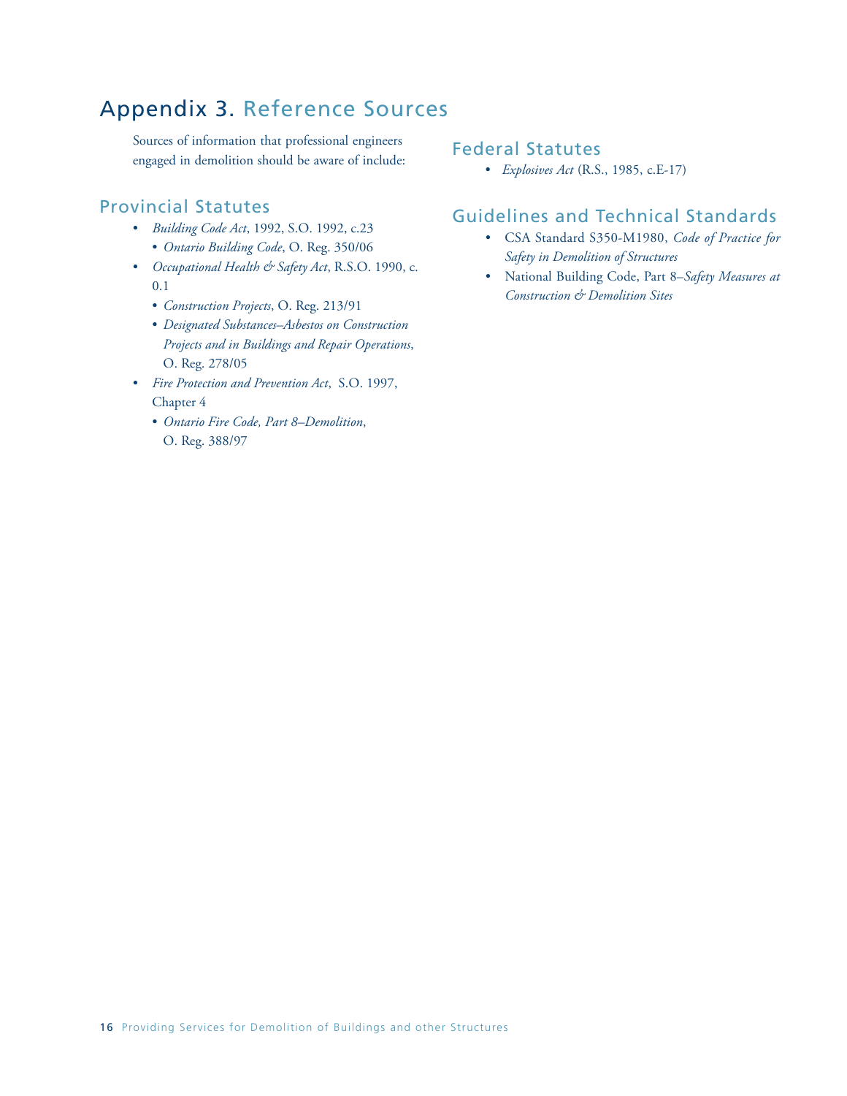## Appendix 3. Reference Sources

Sources of information that professional engineers engaged in demolition should be aware of include:

### Provincial Statutes

- *Building Code Act*, 1992, S.O. 1992, c.23 • *Ontario Building Code*, O. Reg. 350/06
- *Occupational Health & Safety Act*, R.S.O. 1990, c. 0.1
	- *Construction Projects*, O. Reg. 213/91
	- *Designated Substances–Asbestos on Construction Projects and in Buildings and Repair Operations*, O. Reg. 278/05
- *Fire Protection and Prevention Act*, S.O. 1997, Chapter 4
	- *Ontario Fire Code, Part 8–Demolition*, O. Reg. 388/97

### Federal Statutes

• *Explosives Act* (R.S., 1985, c.E-17)

## Guidelines and Technical Standards

- CSA Standard S350-M1980, *Code of Practice for Safety in Demolition of Structures*
- National Building Code, Part 8–*Safety Measures at Construction & Demolition Sites*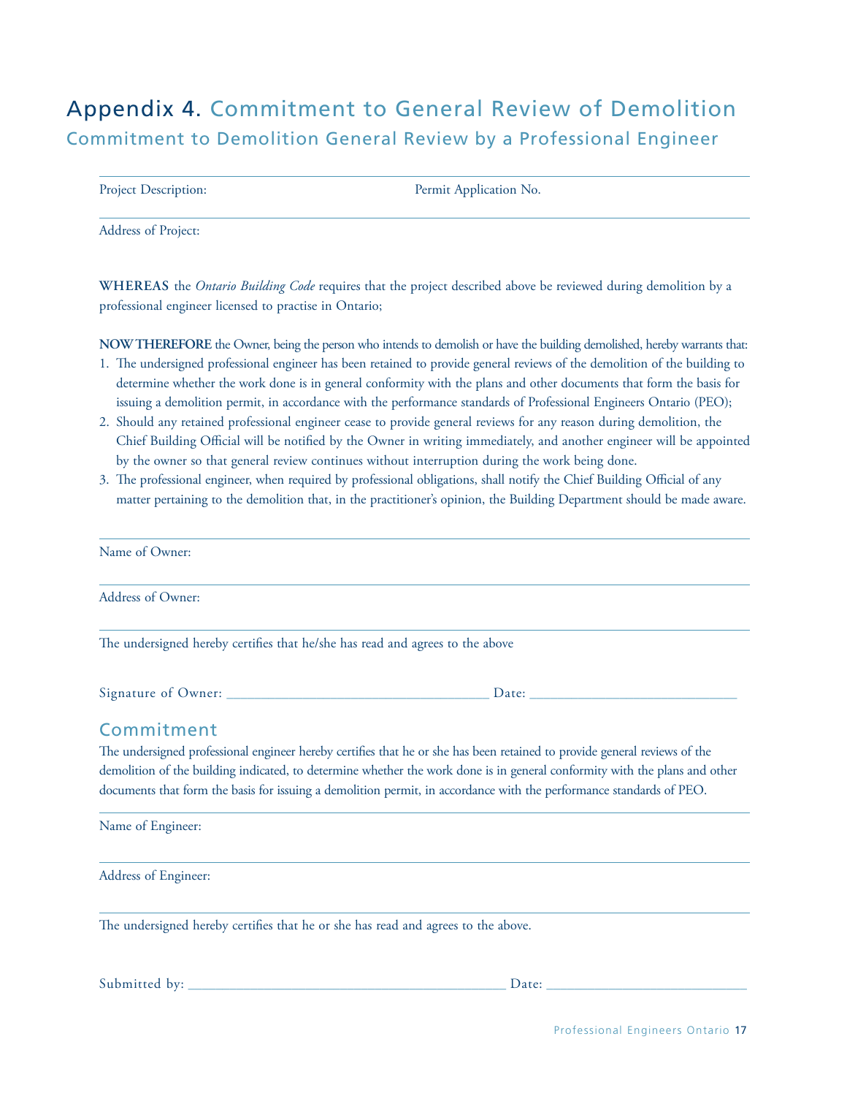## Appendix 4. Commitment to General Review of Demolition Commitment to Demolition General Review by a Professional Engineer

| <b>Project Description:</b> | Permit Application No. |
|-----------------------------|------------------------|
|                             |                        |

Address of Project:

**WHEREAS** the *Ontario Building Code* requires that the project described above be reviewed during demolition by a professional engineer licensed to practise in Ontario;

**NOWTHEREFORE** the Owner, being the person who intends to demolish or have the building demolished, hereby warrants that:

- 1. The undersigned professional engineer has been retained to provide general reviews of the demolition of the building to determine whether the work done is in general conformity with the plans and other documents that form the basis for issuing a demolition permit, in accordance with the performance standards of Professional Engineers Ontario (PEO);
- 2. Should any retained professional engineer cease to provide general reviews for any reason during demolition, the Chief Building Official will be notified by the Owner in writing immediately, and another engineer will be appointed by the owner so that general review continues without interruption during the work being done.
- 3. The professional engineer, when required by professional obligations, shall notify the Chief Building Official of any matter pertaining to the demolition that, in the practitioner's opinion, the Building Department should be made aware.

| Name of Owner:                                                                                                             |  |  |  |
|----------------------------------------------------------------------------------------------------------------------------|--|--|--|
| Address of Owner:                                                                                                          |  |  |  |
| The undersigned hereby certifies that he/she has read and agrees to the above                                              |  |  |  |
|                                                                                                                            |  |  |  |
| Commitment                                                                                                                 |  |  |  |
| The undersigned professional engineer hereby certifies that he or she has been retained to provide general reviews of the  |  |  |  |
| demolition of the building indicated, to determine whether the work done is in general conformity with the plans and other |  |  |  |
| documents that form the basis for issuing a demolition permit, in accordance with the performance standards of PEO.        |  |  |  |
| Name of Engineer:                                                                                                          |  |  |  |
| Address of Engineer:                                                                                                       |  |  |  |
| The undersigned hereby certifies that he or she has read and agrees to the above.                                          |  |  |  |

Submitted by: \_\_\_\_\_\_\_\_\_\_\_\_\_\_\_\_\_\_\_\_\_\_\_\_\_\_\_\_\_\_\_\_\_\_\_\_\_\_\_\_\_\_\_\_\_\_ Date: \_\_\_\_\_\_\_\_\_\_\_\_\_\_\_\_\_\_\_\_\_\_\_\_\_\_\_\_\_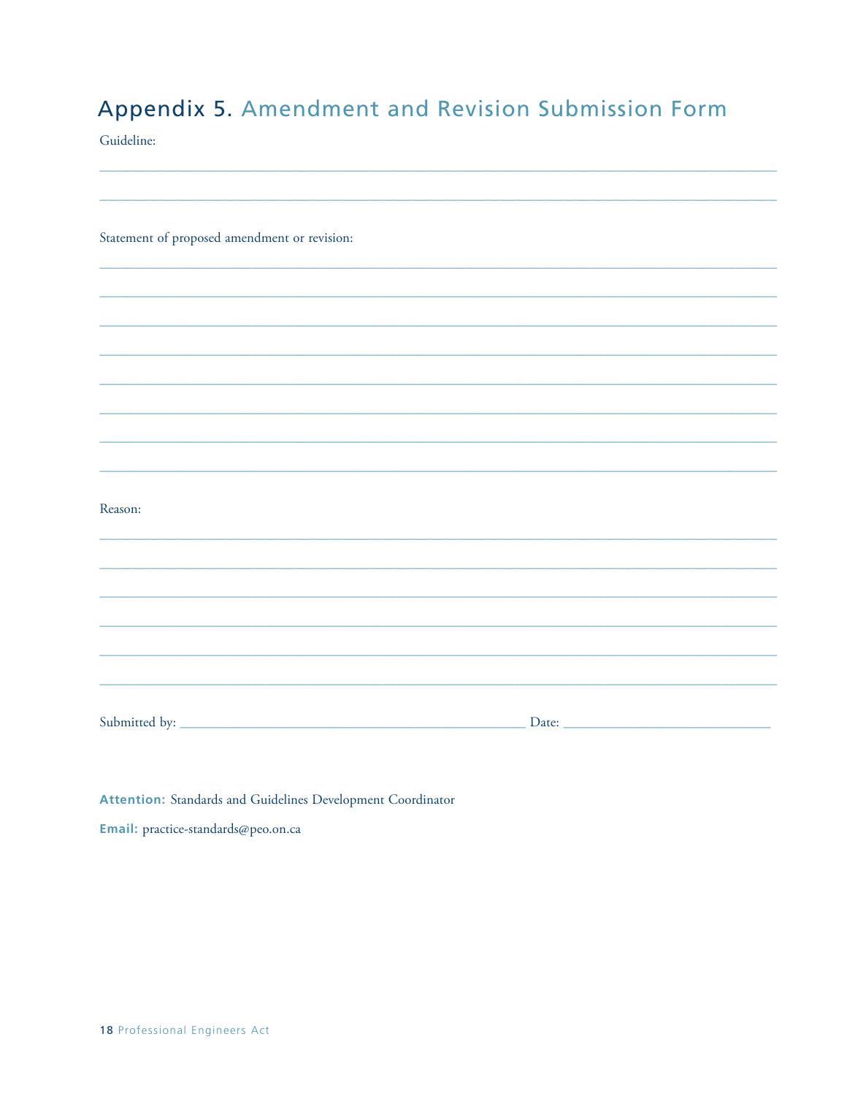## Appendix 5. Amendment and Revision Submission Form

Guideline:

Statement of proposed amendment or revision:

Reason:

Attention: Standards and Guidelines Development Coordinator Email: practice-standards@peo.on.ca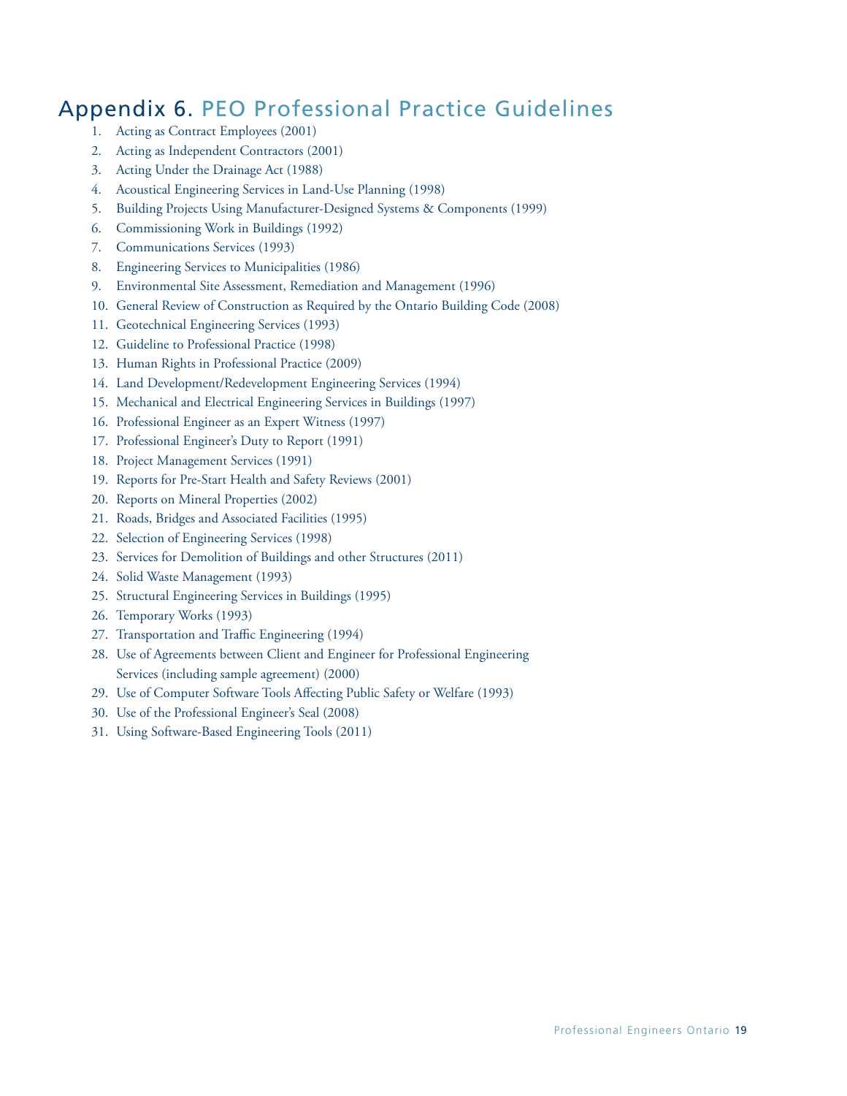## Appendix 6. PEO Professional Practice Guidelines

- 1. Acting as Contract Employees (2001)
- 2. Acting as Independent Contractors (2001)
- 3. Acting Under the Drainage Act (1988)
- 4. Acoustical Engineering Services in Land-Use Planning (1998)
- 5. Building Projects Using Manufacturer-Designed Systems & Components (1999)
- 6. Commissioning Work in Buildings (1992)
- 7. Communications Services (1993)
- 8. Engineering Services to Municipalities (1986)
- 9. Environmental Site Assessment, Remediation and Management (1996)
- 10. General Review of Construction as Required by the Ontario Building Code (2008)
- 11. Geotechnical Engineering Services (1993)
- 12. Guideline to Professional Practice (1998)
- 13. Human Rights in Professional Practice (2009)
- 14. Land Development/Redevelopment Engineering Services (1994)
- 15. Mechanical and Electrical Engineering Services in Buildings (1997)
- 16. Professional Engineer as an Expert Witness (1997)
- 17. Professional Engineer's Duty to Report (1991)
- 18. Project Management Services (1991)
- 19. Reports for Pre-Start Health and Safety Reviews (2001)
- 20. Reports on Mineral Properties (2002)
- 21. Roads, Bridges and Associated Facilities (1995)
- 22. Selection of Engineering Services (1998)
- 23. Services for Demolition of Buildings and other Structures (2011)
- 24. Solid Waste Management (1993)
- 25. Structural Engineering Services in Buildings (1995)
- 26. Temporary Works (1993)
- 27. Transportation and Traffic Engineering (1994)
- 28. Use of Agreements between Client and Engineer for Professional Engineering Services (including sample agreement) (2000)
- 29. Use of Computer Software Tools Affecting Public Safety or Welfare (1993)
- 30. Use of the Professional Engineer's Seal (2008)
- 31. Using Software-Based Engineering Tools (2011)